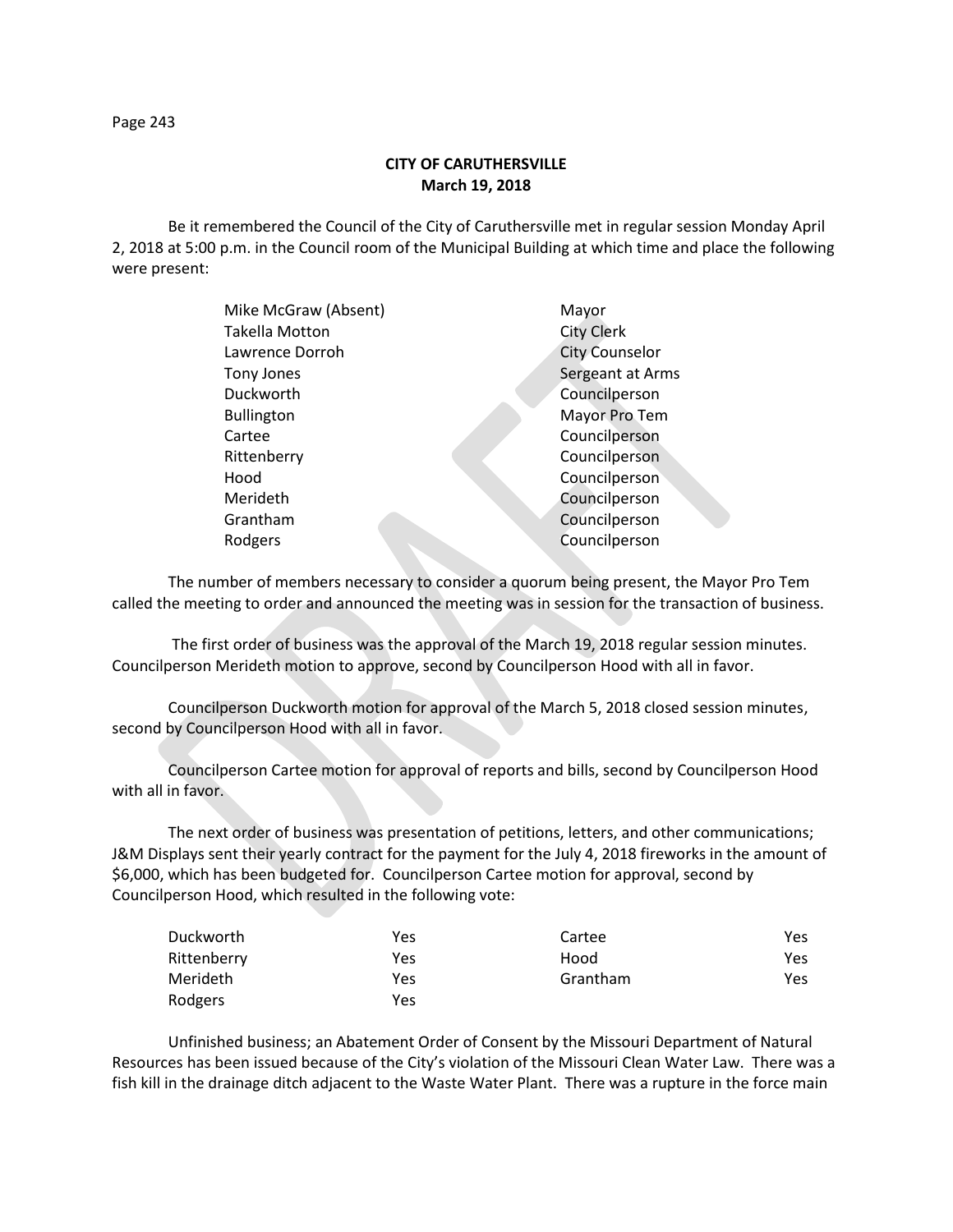**CITY OF CARUTHERSVILLE March 19, 2018**

Be it remembered the Council of the City of Caruthersville met in regular session Monday April 2, 2018 at 5:00 p.m. in the Council room of the Municipal Building at which time and place the following were present:

| Mike McGraw (Absent)  | Mayor                 |
|-----------------------|-----------------------|
| <b>Takella Motton</b> | <b>City Clerk</b>     |
| Lawrence Dorroh       | <b>City Counselor</b> |
| Tony Jones            | Sergeant at Arms      |
| Duckworth             | Councilperson         |
| <b>Bullington</b>     | Mayor Pro Tem         |
| Cartee                | Councilperson         |
| Rittenberry           | Councilperson         |
| Hood                  | Councilperson         |
| Merideth              | Councilperson         |
| Grantham              | Councilperson         |
| Rodgers               | Councilperson         |
|                       |                       |

The number of members necessary to consider a quorum being present, the Mayor Pro Tem called the meeting to order and announced the meeting was in session for the transaction of business.

The first order of business was the approval of the March 19, 2018 regular session minutes. Councilperson Merideth motion to approve, second by Councilperson Hood with all in favor.

Councilperson Duckworth motion for approval of the March 5, 2018 closed session minutes, second by Councilperson Hood with all in favor.

Councilperson Cartee motion for approval of reports and bills, second by Councilperson Hood with all in favor.

The next order of business was presentation of petitions, letters, and other communications; J&M Displays sent their yearly contract for the payment for the July 4, 2018 fireworks in the amount of \$6,000, which has been budgeted for. Councilperson Cartee motion for approval, second by Councilperson Hood, which resulted in the following vote:

| Duckworth   | Yes | Cartee   | Yes. |
|-------------|-----|----------|------|
| Rittenberry | Yes | Hood     | Yes. |
| Merideth    | Yes | Grantham | Yes. |
| Rodgers     | Yes |          |      |

Unfinished business; an Abatement Order of Consent by the Missouri Department of Natural Resources has been issued because of the City's violation of the Missouri Clean Water Law. There was a fish kill in the drainage ditch adjacent to the Waste Water Plant. There was a rupture in the force main

Page 243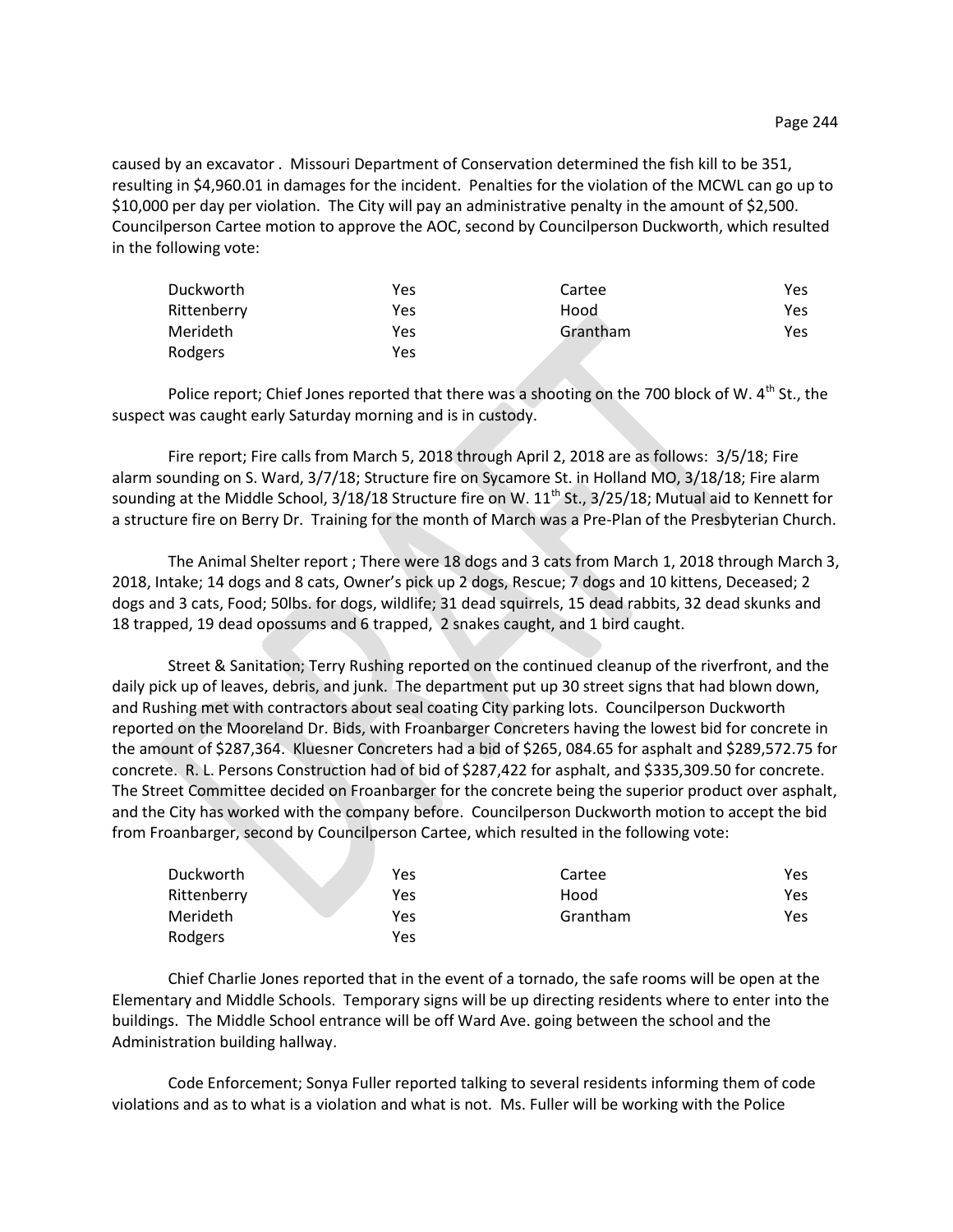caused by an excavator . Missouri Department of Conservation determined the fish kill to be 351, resulting in \$4,960.01 in damages for the incident. Penalties for the violation of the MCWL can go up to \$10,000 per day per violation. The City will pay an administrative penalty in the amount of \$2,500. Councilperson Cartee motion to approve the AOC, second by Councilperson Duckworth, which resulted in the following vote:

| Duckworth       | Yes | Cartee   | Yes |
|-----------------|-----|----------|-----|
| Rittenberry     | Yes | Hood     | Yes |
| <b>Merideth</b> | Yes | Grantham | Yes |
| Rodgers         | Yes |          |     |

Police report; Chief Jones reported that there was a shooting on the 700 block of W. 4<sup>th</sup> St., the suspect was caught early Saturday morning and is in custody.

Fire report; Fire calls from March 5, 2018 through April 2, 2018 are as follows: 3/5/18; Fire alarm sounding on S. Ward, 3/7/18; Structure fire on Sycamore St. in Holland MO, 3/18/18; Fire alarm sounding at the Middle School,  $3/18/18$  Structure fire on W.  $11<sup>th</sup>$  St.,  $3/25/18$ ; Mutual aid to Kennett for a structure fire on Berry Dr. Training for the month of March was a Pre-Plan of the Presbyterian Church.

The Animal Shelter report ; There were 18 dogs and 3 cats from March 1, 2018 through March 3, 2018, Intake; 14 dogs and 8 cats, Owner's pick up 2 dogs, Rescue; 7 dogs and 10 kittens, Deceased; 2 dogs and 3 cats, Food; 50lbs. for dogs, wildlife; 31 dead squirrels, 15 dead rabbits, 32 dead skunks and 18 trapped, 19 dead opossums and 6 trapped, 2 snakes caught, and 1 bird caught.

Street & Sanitation; Terry Rushing reported on the continued cleanup of the riverfront, and the daily pick up of leaves, debris, and junk. The department put up 30 street signs that had blown down, and Rushing met with contractors about seal coating City parking lots. Councilperson Duckworth reported on the Mooreland Dr. Bids, with Froanbarger Concreters having the lowest bid for concrete in the amount of \$287,364. Kluesner Concreters had a bid of \$265, 084.65 for asphalt and \$289,572.75 for concrete. R. L. Persons Construction had of bid of \$287,422 for asphalt, and \$335,309.50 for concrete. The Street Committee decided on Froanbarger for the concrete being the superior product over asphalt, and the City has worked with the company before. Councilperson Duckworth motion to accept the bid from Froanbarger, second by Councilperson Cartee, which resulted in the following vote:

| Duckworth   | Yes | Cartee   | Yes |
|-------------|-----|----------|-----|
| Rittenberry | Yes | Hood     | Yes |
| Merideth    | Yes | Grantham | Yes |
| Rodgers     | Yes |          |     |

Chief Charlie Jones reported that in the event of a tornado, the safe rooms will be open at the Elementary and Middle Schools. Temporary signs will be up directing residents where to enter into the buildings. The Middle School entrance will be off Ward Ave. going between the school and the Administration building hallway.

Code Enforcement; Sonya Fuller reported talking to several residents informing them of code violations and as to what is a violation and what is not. Ms. Fuller will be working with the Police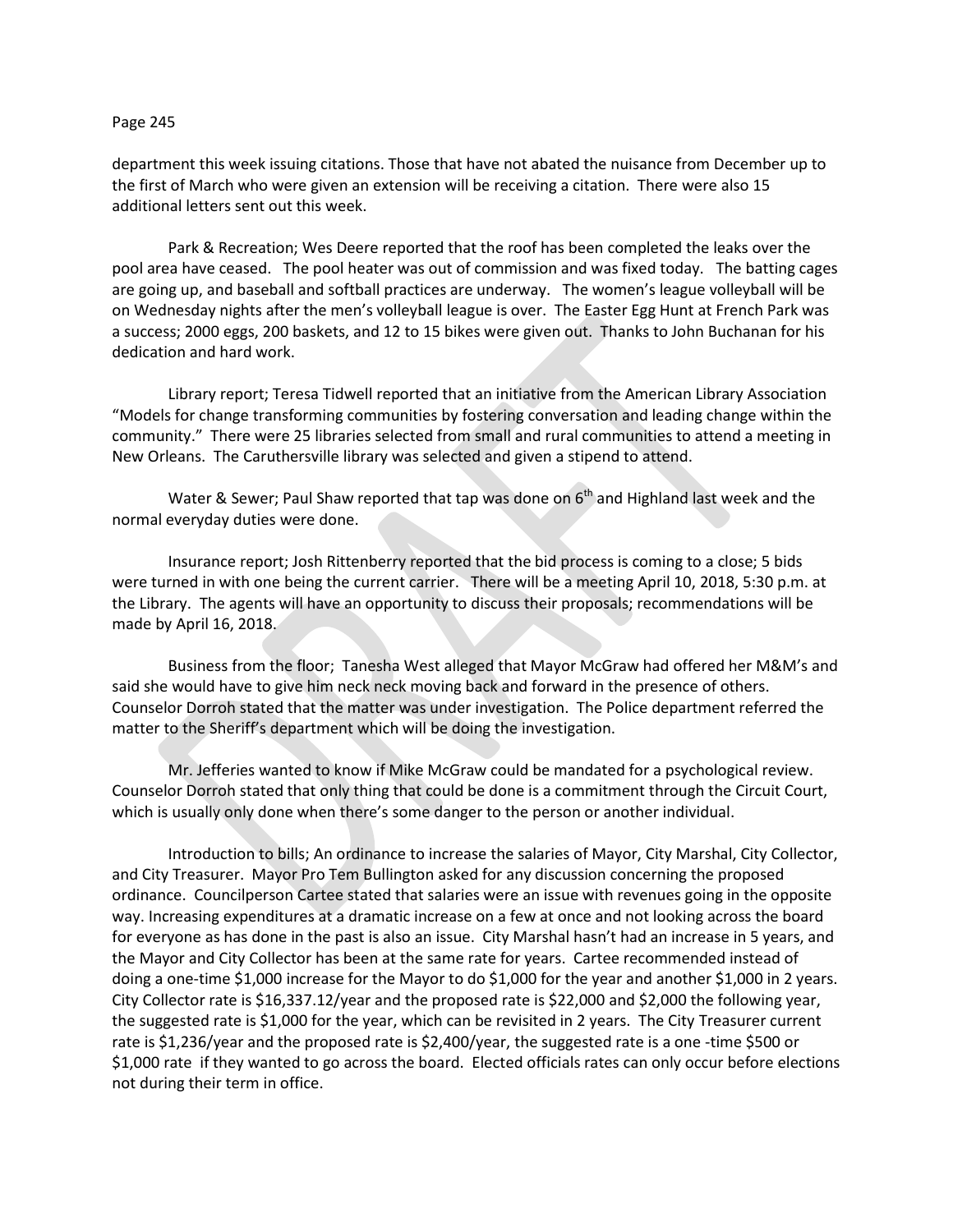## Page 245

department this week issuing citations. Those that have not abated the nuisance from December up to the first of March who were given an extension will be receiving a citation. There were also 15 additional letters sent out this week.

Park & Recreation; Wes Deere reported that the roof has been completed the leaks over the pool area have ceased. The pool heater was out of commission and was fixed today. The batting cages are going up, and baseball and softball practices are underway. The women's league volleyball will be on Wednesday nights after the men's volleyball league is over. The Easter Egg Hunt at French Park was a success; 2000 eggs, 200 baskets, and 12 to 15 bikes were given out. Thanks to John Buchanan for his dedication and hard work.

Library report; Teresa Tidwell reported that an initiative from the American Library Association "Models for change transforming communities by fostering conversation and leading change within the community." There were 25 libraries selected from small and rural communities to attend a meeting in New Orleans. The Caruthersville library was selected and given a stipend to attend.

Water & Sewer; Paul Shaw reported that tap was done on  $6<sup>th</sup>$  and Highland last week and the normal everyday duties were done.

Insurance report; Josh Rittenberry reported that the bid process is coming to a close; 5 bids were turned in with one being the current carrier. There will be a meeting April 10, 2018, 5:30 p.m. at the Library. The agents will have an opportunity to discuss their proposals; recommendations will be made by April 16, 2018.

Business from the floor; Tanesha West alleged that Mayor McGraw had offered her M&M's and said she would have to give him neck neck moving back and forward in the presence of others. Counselor Dorroh stated that the matter was under investigation. The Police department referred the matter to the Sheriff's department which will be doing the investigation.

Mr. Jefferies wanted to know if Mike McGraw could be mandated for a psychological review. Counselor Dorroh stated that only thing that could be done is a commitment through the Circuit Court, which is usually only done when there's some danger to the person or another individual.

Introduction to bills; An ordinance to increase the salaries of Mayor, City Marshal, City Collector, and City Treasurer. Mayor Pro Tem Bullington asked for any discussion concerning the proposed ordinance. Councilperson Cartee stated that salaries were an issue with revenues going in the opposite way. Increasing expenditures at a dramatic increase on a few at once and not looking across the board for everyone as has done in the past is also an issue. City Marshal hasn't had an increase in 5 years, and the Mayor and City Collector has been at the same rate for years. Cartee recommended instead of doing a one-time \$1,000 increase for the Mayor to do \$1,000 for the year and another \$1,000 in 2 years. City Collector rate is \$16,337.12/year and the proposed rate is \$22,000 and \$2,000 the following year, the suggested rate is \$1,000 for the year, which can be revisited in 2 years. The City Treasurer current rate is \$1,236/year and the proposed rate is \$2,400/year, the suggested rate is a one -time \$500 or \$1,000 rate if they wanted to go across the board. Elected officials rates can only occur before elections not during their term in office.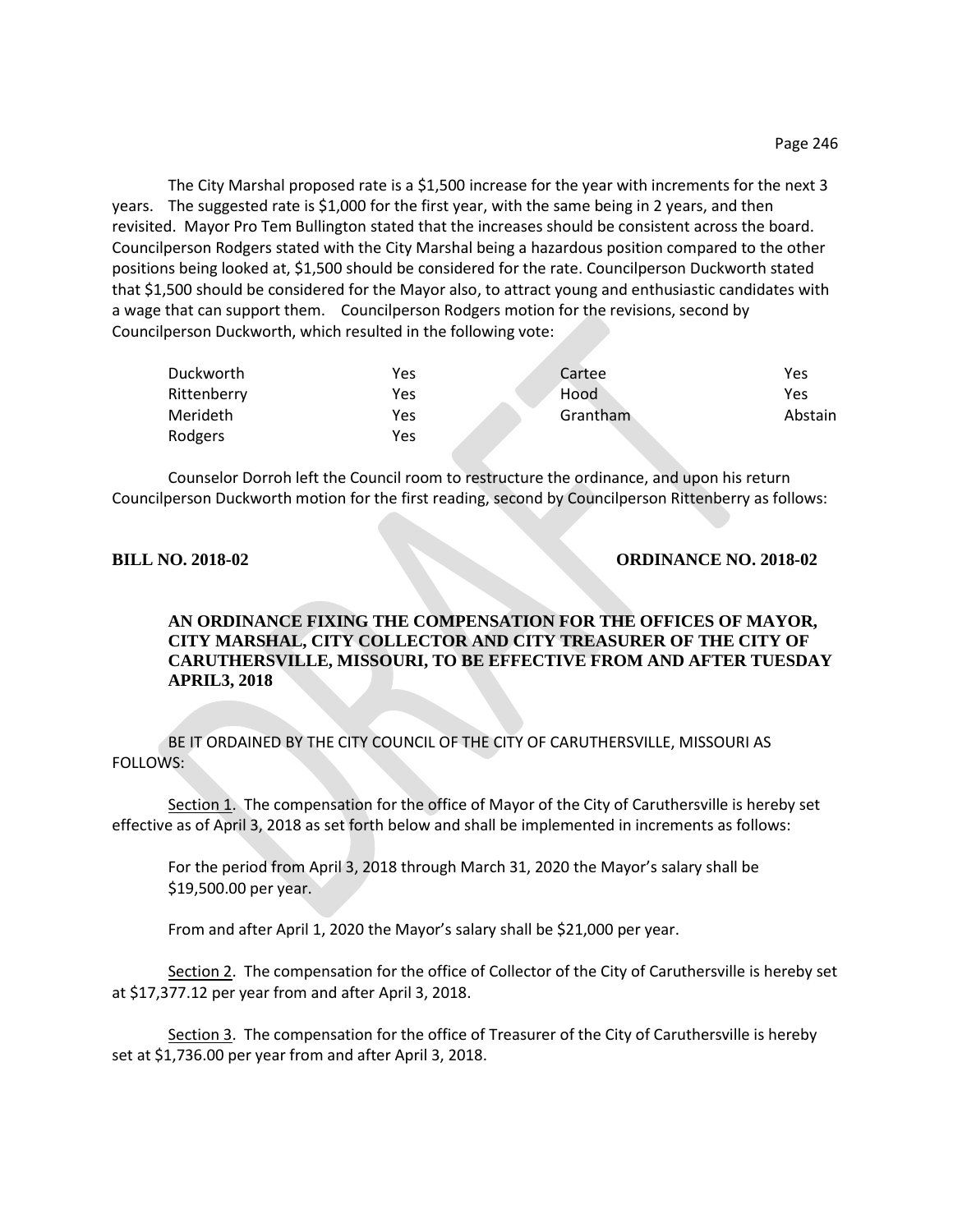The City Marshal proposed rate is a \$1,500 increase for the year with increments for the next 3 years. The suggested rate is \$1,000 for the first year, with the same being in 2 years, and then revisited. Mayor Pro Tem Bullington stated that the increases should be consistent across the board. Councilperson Rodgers stated with the City Marshal being a hazardous position compared to the other positions being looked at, \$1,500 should be considered for the rate. Councilperson Duckworth stated that \$1,500 should be considered for the Mayor also, to attract young and enthusiastic candidates with a wage that can support them. Councilperson Rodgers motion for the revisions, second by Councilperson Duckworth, which resulted in the following vote:

| Duckworth       | Yes | Cartee   | Yes     |
|-----------------|-----|----------|---------|
| Rittenberry     | Yes | Hood     | Yes     |
| <b>Merideth</b> | Yes | Grantham | Abstain |
| Rodgers         | Yes |          |         |

Counselor Dorroh left the Council room to restructure the ordinance, and upon his return Councilperson Duckworth motion for the first reading, second by Councilperson Rittenberry as follows:

## **BILL NO. 2018-02 ORDINANCE NO. 2018-02**

## **AN ORDINANCE FIXING THE COMPENSATION FOR THE OFFICES OF MAYOR, CITY MARSHAL, CITY COLLECTOR AND CITY TREASURER OF THE CITY OF CARUTHERSVILLE, MISSOURI, TO BE EFFECTIVE FROM AND AFTER TUESDAY APRIL3, 2018**

BE IT ORDAINED BY THE CITY COUNCIL OF THE CITY OF CARUTHERSVILLE, MISSOURI AS FOLLOWS:

Section 1. The compensation for the office of Mayor of the City of Caruthersville is hereby set effective as of April 3, 2018 as set forth below and shall be implemented in increments as follows:

For the period from April 3, 2018 through March 31, 2020 the Mayor's salary shall be \$19,500.00 per year.

From and after April 1, 2020 the Mayor's salary shall be \$21,000 per year.

Section 2. The compensation for the office of Collector of the City of Caruthersville is hereby set at \$17,377.12 per year from and after April 3, 2018.

Section 3. The compensation for the office of Treasurer of the City of Caruthersville is hereby set at \$1,736.00 per year from and after April 3, 2018.